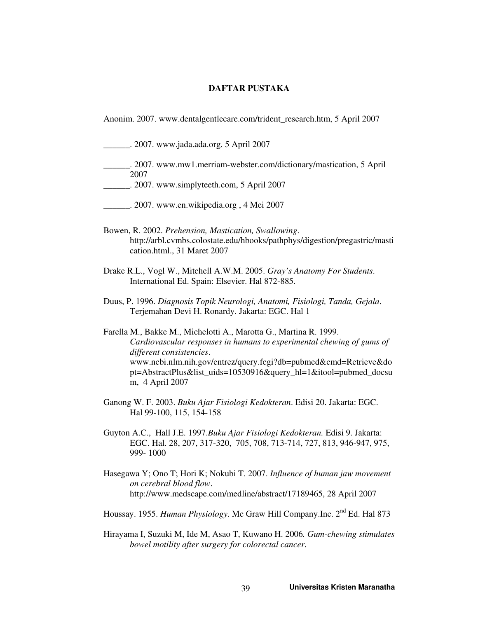## **DAFTAR PUSTAKA**

Anonim. 2007. www.dentalgentlecare.com/trident\_research.htm, 5 April 2007

\_\_\_\_\_\_. 2007. www.jada.ada.org. 5 April 2007

- \_\_\_\_\_\_. 2007. www.mw1.merriam-webster.com/dictionary/mastication, 5 April 2007
- \_\_\_\_\_\_. 2007. www.simplyteeth.com, 5 April 2007
- \_\_\_\_\_\_. 2007. www.en.wikipedia.org , 4 Mei 2007
- Bowen, R. 2002. *Prehension, Mastication, Swallowing*. http://arbl.cvmbs.colostate.edu/hbooks/pathphys/digestion/pregastric/masti cation.html., 31 Maret 2007
- Drake R.L., Vogl W., Mitchell A.W.M. 2005. *Gray's Anatomy For Students*. International Ed. Spain: Elsevier. Hal 872-885.
- Duus, P. 1996. *Diagnosis Topik Neurologi, Anatomi, Fisiologi, Tanda, Gejala*. Terjemahan Devi H. Ronardy. Jakarta: EGC. Hal 1

Farella M., Bakke M., Michelotti A., Marotta G., Martina R. 1999. *Cardiovascular responses in humans to experimental chewing of gums of different consistencies*. www.ncbi.nlm.nih.gov/entrez/query.fcgi?db=pubmed&cmd=Retrieve&do pt=AbstractPlus&list\_uids=10530916&query\_hl=1&itool=pubmed\_docsu m, 4 April 2007

- Ganong W. F. 2003. *Buku Ajar Fisiologi Kedokteran*. Edisi 20. Jakarta: EGC. Hal 99-100, 115, 154-158
- Guyton A.C., Hall J.E. 1997.*Buku Ajar Fisiologi Kedokteran.* Edisi 9. Jakarta: EGC. Hal. 28, 207, 317-320, 705, 708, 713-714, 727, 813, 946-947, 975, 999- 1000
- Hasegawa Y; Ono T; Hori K; Nokubi T. 2007. *Influence of human jaw movement on cerebral blood flow*. http://www.medscape.com/medline/abstract/17189465, 28 April 2007
- Houssay. 1955. *Human Physiology*. Mc Graw Hill Company.Inc. 2nd Ed. Hal 873
- Hirayama I, Suzuki M, Ide M, Asao T, Kuwano H. 2006*. Gum-chewing stimulates bowel motility after surgery for colorectal cancer*.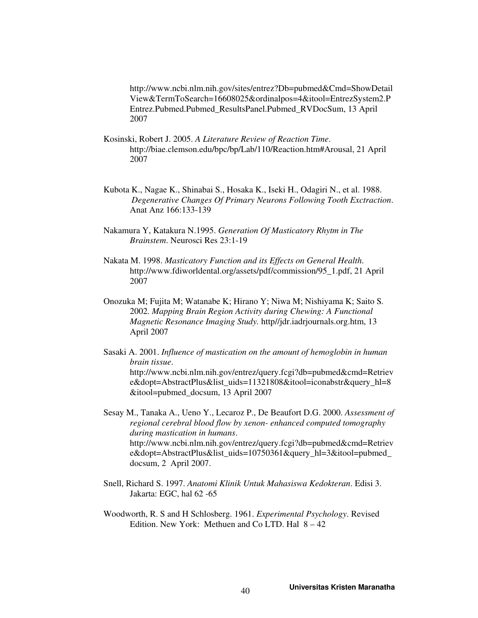http://www.ncbi.nlm.nih.gov/sites/entrez?Db=pubmed&Cmd=ShowDetail View&TermToSearch=16608025&ordinalpos=4&itool=EntrezSystem2.P Entrez.Pubmed.Pubmed\_ResultsPanel.Pubmed\_RVDocSum, 13 April 2007

- Kosinski, Robert J. 2005. *A Literature Review of Reaction Time*. http://biae.clemson.edu/bpc/bp/Lab/110/Reaction.htm#Arousal, 21 April 2007
- Kubota K., Nagae K., Shinabai S., Hosaka K., Iseki H., Odagiri N., et al. 1988. *Degenerative Changes Of Primary Neurons Following Tooth Exctraction*. Anat Anz 166:133-139
- Nakamura Y, Katakura N.1995. *Generation Of Masticatory Rhytm in The Brainstem*. Neurosci Res 23:1-19
- Nakata M. 1998. *Masticatory Function and its Effects on General Health*. http://www.fdiworldental.org/assets/pdf/commission/95\_1.pdf, 21 April 2007
- Onozuka M; Fujita M; Watanabe K; Hirano Y; Niwa M; Nishiyama K; Saito S*.* 2002. *Mapping Brain Region Activity during Chewing: A Functional Magnetic Resonance Imaging Study.* http//jdr.iadrjournals.org.htm, 13 April 2007
- Sasaki A. 2001. *Influence of mastication on the amount of hemoglobin in human brain tissue*. http://www.ncbi.nlm.nih.gov/entrez/query.fcgi?db=pubmed&cmd=Retriev e&dopt=AbstractPlus&list\_uids=11321808&itool=iconabstr&query\_hl=8 &itool=pubmed\_docsum, 13 April 2007

Sesay M., Tanaka A., Ueno Y., Lecaroz P., De Beaufort D.G. 2000. *Assessment of regional cerebral blood flow by xenon- enhanced computed tomography during mastication in humans*. http://www.ncbi.nlm.nih.gov/entrez/query.fcgi?db=pubmed&cmd=Retriev e&dopt=AbstractPlus&list\_uids=10750361&query\_hl=3&itool=pubmed\_ docsum, 2 April 2007.

- Snell, Richard S. 1997. *Anatomi Klinik Untuk Mahasiswa Kedokteran*. Edisi 3. Jakarta: EGC, hal 62 -65
- Woodworth, R. S and H Schlosberg. 1961. *Experimental Psychology*. Revised Edition. New York: Methuen and Co LTD. Hal  $8-42$